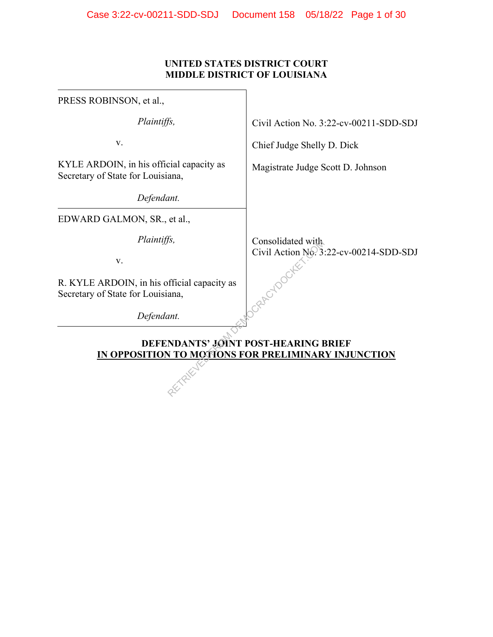## **UNITED STATES DISTRICT COURT MIDDLE DISTRICT OF LOUISIANA**

| PRESS ROBINSON, et al.,                                                                     |                                        |  |  |  |
|---------------------------------------------------------------------------------------------|----------------------------------------|--|--|--|
| Plaintiffs,                                                                                 | Civil Action No. 3:22-cv-00211-SDD-SDJ |  |  |  |
| V.                                                                                          | Chief Judge Shelly D. Dick             |  |  |  |
| KYLE ARDOIN, in his official capacity as<br>Secretary of State for Louisiana,               | Magistrate Judge Scott D. Johnson      |  |  |  |
| Defendant.                                                                                  |                                        |  |  |  |
| EDWARD GALMON, SR., et al.,                                                                 |                                        |  |  |  |
| Plaintiffs,                                                                                 | Consolidated with                      |  |  |  |
| V.                                                                                          | Civil Action No. 3:22-cv-00214-SDD-SDJ |  |  |  |
| R. KYLE ARDOIN, in his official capacity as<br>Secretary of State for Louisiana,            |                                        |  |  |  |
| Defendant.                                                                                  |                                        |  |  |  |
| DEFENDANTS' JOINT POST-HEARING BRIEF<br>IN OPPOSITION TO MOTIONS FOR PRELIMINARY INJUNCTION |                                        |  |  |  |
|                                                                                             |                                        |  |  |  |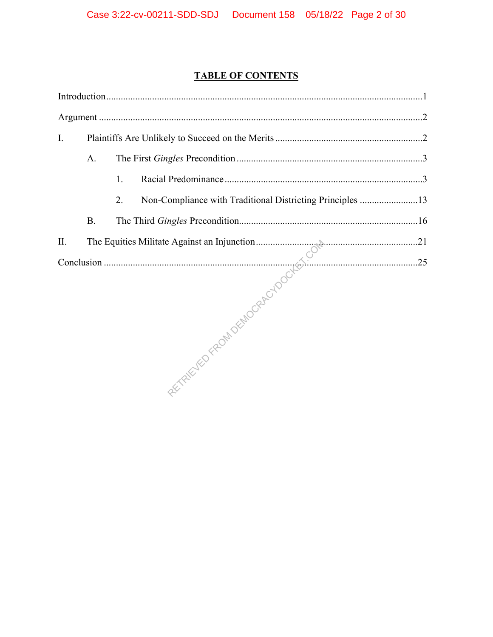# **TABLE OF CONTENTS**

| I. |           |    |                                                           |  |
|----|-----------|----|-----------------------------------------------------------|--|
|    | A.        |    |                                                           |  |
|    |           | 1. |                                                           |  |
|    |           | 2. | Non-Compliance with Traditional Districting Principles 13 |  |
|    | <b>B.</b> |    |                                                           |  |
|    |           |    |                                                           |  |
|    |           |    |                                                           |  |
|    |           |    |                                                           |  |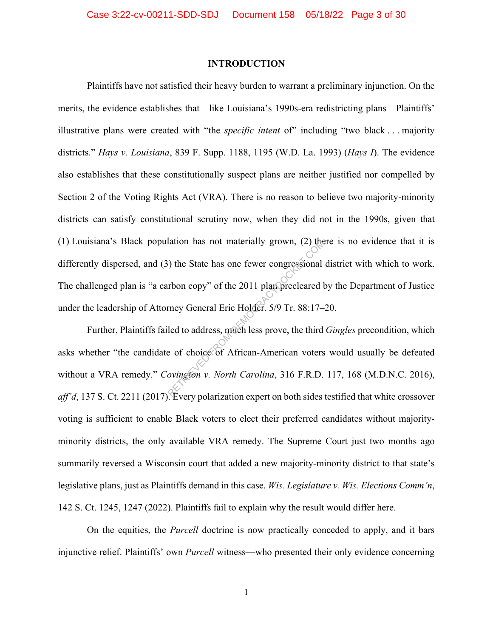#### **INTRODUCTION**

Plaintiffs have not satisfied their heavy burden to warrant a preliminary injunction. On the merits, the evidence establishes that—like Louisiana's 1990s-era redistricting plans—Plaintiffs' illustrative plans were created with "the *specific intent* of" including "two black . . . majority districts." *Hays v. Louisiana*, 839 F. Supp. 1188, 1195 (W.D. La. 1993) (*Hays I*). The evidence also establishes that these constitutionally suspect plans are neither justified nor compelled by Section 2 of the Voting Rights Act (VRA). There is no reason to believe two majority-minority districts can satisfy constitutional scrutiny now, when they did not in the 1990s, given that (1) Louisiana's Black population has not materially grown, (2) there is no evidence that it is differently dispersed, and (3) the State has one fewer congressional district with which to work. The challenged plan is "a carbon copy" of the 2011 plan precleared by the Department of Justice under the leadership of Attorney General Eric Holder. 5/9 Tr. 88:17–20. The State has one fewer congressional<br>
The State has one fewer congressional<br>
The State has one fewer congressional<br>
The State has one fewer congressional<br>
The State Holder. 5/9 Tr. 88:17–<br>
Led to address, much less prove,

Further, Plaintiffs failed to address, much less prove, the third *Gingles* precondition, which asks whether "the candidate of choice of African-American voters would usually be defeated without a VRA remedy." *Covington v. North Carolina*, 316 F.R.D. 117, 168 (M.D.N.C. 2016), *aff'd*, 137 S. Ct. 2211 (2017). Every polarization expert on both sides testified that white crossover voting is sufficient to enable Black voters to elect their preferred candidates without majorityminority districts, the only available VRA remedy. The Supreme Court just two months ago summarily reversed a Wisconsin court that added a new majority-minority district to that state's legislative plans, just as Plaintiffs demand in this case. *Wis. Legislature v. Wis. Elections Comm'n*, 142 S. Ct. 1245, 1247 (2022). Plaintiffs fail to explain why the result would differ here.

On the equities, the *Purcell* doctrine is now practically conceded to apply, and it bars injunctive relief. Plaintiffs' own *Purcell* witness—who presented their only evidence concerning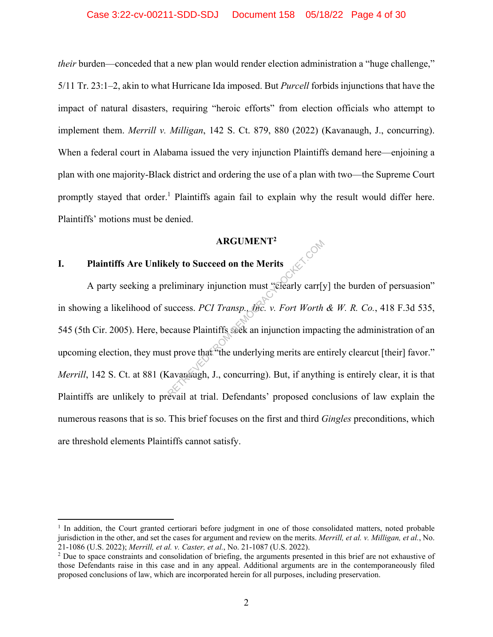*their* burden—conceded that a new plan would render election administration a "huge challenge," 5/11 Tr. 23:1–2, akin to what Hurricane Ida imposed. But *Purcell* forbids injunctions that have the impact of natural disasters, requiring "heroic efforts" from election officials who attempt to implement them. *Merrill v. Milligan*, 142 S. Ct. 879, 880 (2022) (Kavanaugh, J., concurring). When a federal court in Alabama issued the very injunction Plaintiffs demand here—enjoining a plan with one majority-Black district and ordering the use of a plan with two—the Supreme Court promptly stayed that order.<sup>1</sup> Plaintiffs again fail to explain why the result would differ here. Plaintiffs' motions must be denied.

#### **ARGUMENT2**

# **I. Plaintiffs Are Unlikely to Succeed on the Merits**

A party seeking a preliminary injunction must "clearly carr[y] the burden of persuasion" in showing a likelihood of success. *PCI Transp., Inc. v. Fort Worth & W. R. Co.*, 418 F.3d 535, 545 (5th Cir. 2005). Here, because Plaintiffs seek an injunction impacting the administration of an upcoming election, they must prove that "the underlying merits are entirely clearcut [their] favor." *Merrill*, 142 S. Ct. at 881 (Kavanaugh, J., concurring). But, if anything is entirely clear, it is that Plaintiffs are unlikely to prevail at trial. Defendants' proposed conclusions of law explain the numerous reasons that is so. This brief focuses on the first and third *Gingles* preconditions, which are threshold elements Plaintiffs cannot satisfy. ARGUMENT<sup>2</sup><br>ely to Succeed on the Merits<br>eliminary injunction must "clearly carr[y<br>uccess. *PCI Transp., the. v. Fort Worth*<br>ecause Plaintiffs seek an injunction impact<br>st prove that "the underlying merits are en<br>cavanaugh

<sup>&</sup>lt;sup>1</sup> In addition, the Court granted certiorari before judgment in one of those consolidated matters, noted probable jurisdiction in the other, and set the cases for argument and review on the merits. *Merrill, et al. v. Milligan, et al.*, No. 21-1086 (U.S. 2022); *Merrill, et al. v. Caster, et al.*, No. 21-1087 (U.S. 2022). 2

<sup>&</sup>lt;sup>2</sup> Due to space constraints and consolidation of briefing, the arguments presented in this brief are not exhaustive of those Defendants raise in this case and in any appeal. Additional arguments are in the contemporaneously filed proposed conclusions of law, which are incorporated herein for all purposes, including preservation.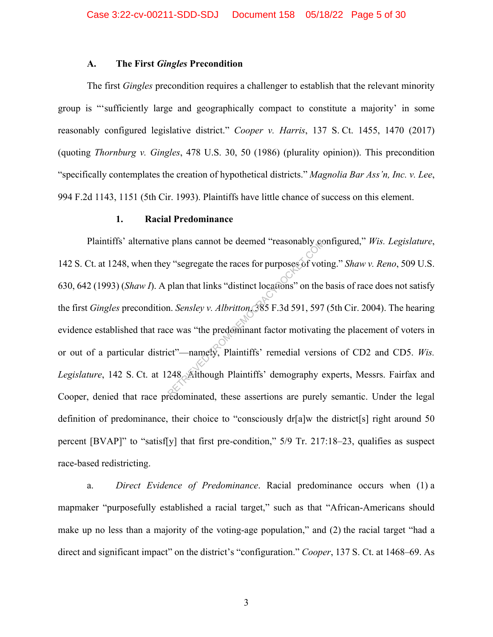#### **A. The First** *Gingles* **Precondition**

The first *Gingles* precondition requires a challenger to establish that the relevant minority group is "'sufficiently large and geographically compact to constitute a majority' in some reasonably configured legislative district." *Cooper v. Harris*, 137 S. Ct. 1455, 1470 (2017) (quoting *Thornburg v. Gingles*, 478 U.S. 30, 50 (1986) (plurality opinion)). This precondition "specifically contemplates the creation of hypothetical districts." *Magnolia Bar Ass'n, Inc. v. Lee*, 994 F.2d 1143, 1151 (5th Cir. 1993). Plaintiffs have little chance of success on this element.

#### **1. Racial Predominance**

Plaintiffs' alternative plans cannot be deemed "reasonably configured," *Wis. Legislature*, 142 S. Ct. at 1248, when they "segregate the races for purposes of voting." *Shaw v. Reno*, 509 U.S. 630, 642 (1993) (*Shaw I*). A plan that links "distinct locations" on the basis of race does not satisfy the first *Gingles* precondition. *Sensley v. Albritton*, 385 F.3d 591, 597 (5th Cir. 2004). The hearing evidence established that race was "the predominant factor motivating the placement of voters in or out of a particular district"—namely, Plaintiffs' remedial versions of CD2 and CD5. *Wis.*  Legislature, 142 S. Ct. at 1248. Although Plaintiffs' demography experts, Messrs. Fairfax and Cooper, denied that race predominated, these assertions are purely semantic. Under the legal definition of predominance, their choice to "consciously dr[a]w the district[s] right around 50 percent [BVAP]" to "satisf[y] that first pre-condition," 5/9 Tr. 217:18–23, qualifies as suspect race-based redistricting. Plans cannot be deemed "reasonably completed"<br>
y "segregate the races for purposes of votical<br>
plan that links "distinct locations" on the<br>
n. *Sensley v. Albritton*, 385 F.3d 591, 597<br>
ce was "the predominant factor motiv

a. *Direct Evidence of Predominance*. Racial predominance occurs when (1) a mapmaker "purposefully established a racial target," such as that "African-Americans should make up no less than a majority of the voting-age population," and (2) the racial target "had a direct and significant impact" on the district's "configuration." *Cooper*, 137 S. Ct. at 1468–69. As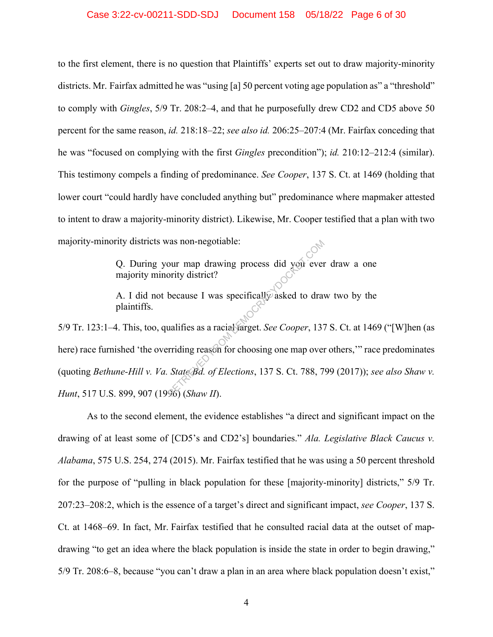to the first element, there is no question that Plaintiffs' experts set out to draw majority-minority districts. Mr. Fairfax admitted he was "using [a] 50 percent voting age population as" a "threshold" to comply with *Gingles*, 5/9 Tr. 208:2–4, and that he purposefully drew CD2 and CD5 above 50 percent for the same reason, *id.* 218:18–22; *see also id.* 206:25–207:4 (Mr. Fairfax conceding that he was "focused on complying with the first *Gingles* precondition"); *id.* 210:12–212:4 (similar). This testimony compels a finding of predominance. *See Cooper*, 137 S. Ct. at 1469 (holding that lower court "could hardly have concluded anything but" predominance where mapmaker attested to intent to draw a majority-minority district). Likewise, Mr. Cooper testified that a plan with two majority-minority districts was non-negotiable:

> Q. During your map drawing process did you ever draw a one majority minority district?

> A. I did not because I was specifically asked to draw two by the plaintiffs.

5/9 Tr. 123:1–4. This, too, qualifies as a racial target. *See Cooper*, 137 S. Ct. at 1469 ("[W]hen (as here) race furnished 'the overriding reason for choosing one map over others," race predominates (quoting *Bethune-Hill v. Va. State Bd. of Elections*, 137 S. Ct. 788, 799 (2017)); *see also Shaw v. Hunt*, 517 U.S. 899, 907 (1996) (*Shaw II*). The value of the discrete state of the discrete oriental term of the discrete state of the main state of Elections, 137 S. Ct. 788, 7<br>The State Bd. of Elections, 137 S. Ct. 788, 7<br>The State Bd. of Elections, 137 S. Ct. 78

As to the second element, the evidence establishes "a direct and significant impact on the drawing of at least some of [CD5's and CD2's] boundaries." *Ala. Legislative Black Caucus v. Alabama*, 575 U.S. 254, 274 (2015). Mr. Fairfax testified that he was using a 50 percent threshold for the purpose of "pulling in black population for these [majority-minority] districts," 5/9 Tr. 207:23–208:2, which is the essence of a target's direct and significant impact, *see Cooper*, 137 S. Ct. at 1468–69. In fact, Mr. Fairfax testified that he consulted racial data at the outset of mapdrawing "to get an idea where the black population is inside the state in order to begin drawing," 5/9 Tr. 208:6–8, because "you can't draw a plan in an area where black population doesn't exist,"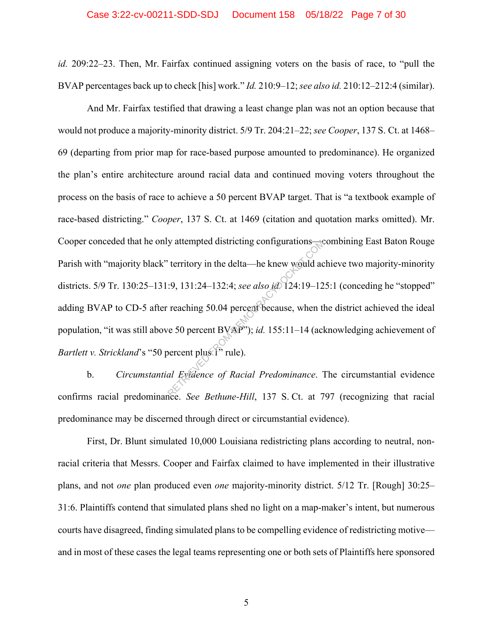*id.* 209:22–23. Then, Mr. Fairfax continued assigning voters on the basis of race, to "pull the BVAP percentages back up to check [his] work." *Id.* 210:9–12; *see also id.* 210:12–212:4 (similar).

And Mr. Fairfax testified that drawing a least change plan was not an option because that would not produce a majority-minority district. 5/9 Tr. 204:21–22; *see Cooper*, 137 S. Ct. at 1468– 69 (departing from prior map for race-based purpose amounted to predominance). He organized the plan's entire architecture around racial data and continued moving voters throughout the process on the basis of race to achieve a 50 percent BVAP target. That is "a textbook example of race-based districting." *Cooper*, 137 S. Ct. at 1469 (citation and quotation marks omitted). Mr. Cooper conceded that he only attempted districting configurations—combining East Baton Rouge Parish with "majority black" territory in the delta—he knew would achieve two majority-minority districts. 5/9 Tr. 130:25–131:9, 131:24–132:4; *see also id.* 124:19–125:1 (conceding he "stopped" adding BVAP to CD-5 after reaching 50.04 percent because, when the district achieved the ideal population, "it was still above 50 percent BVAP"); *id.* 155:11–14 (acknowledging achievement of *Bartlett v. Strickland's* "50 percent plus <sup>1</sup>" rule). y attempted districting configurations—<br>
territory in the delta—he knew would ac<br>  $\therefore$  9, 131:24–132:4; see also id 124:19–12<br>
reaching 50.04 percent because, when the<br>
resolution percent BVAP"); id. 155:11–14 (ach<br>
perc

b. *Circumstantial Evidence of Racial Predominance*. The circumstantial evidence confirms racial predominance. *See Bethune-Hill*, 137 S. Ct. at 797 (recognizing that racial predominance may be discerned through direct or circumstantial evidence).

First, Dr. Blunt simulated 10,000 Louisiana redistricting plans according to neutral, nonracial criteria that Messrs. Cooper and Fairfax claimed to have implemented in their illustrative plans, and not *one* plan produced even *one* majority-minority district. 5/12 Tr. [Rough] 30:25– 31:6. Plaintiffs contend that simulated plans shed no light on a map-maker's intent, but numerous courts have disagreed, finding simulated plans to be compelling evidence of redistricting motive and in most of these cases the legal teams representing one or both sets of Plaintiffs here sponsored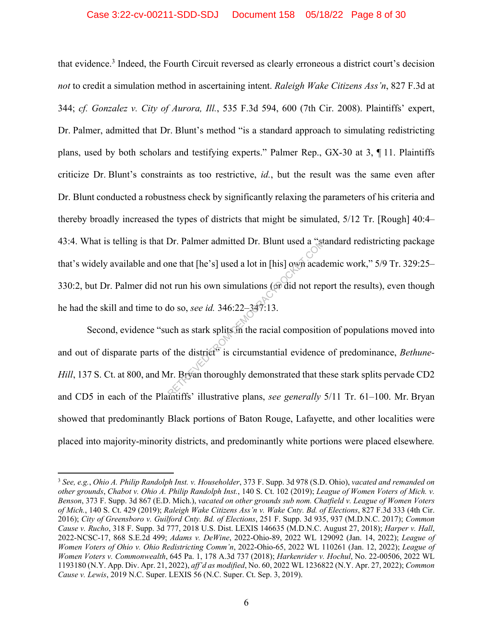#### Case 3:22-cv-00211-SDD-SDJ Document 158 05/18/22 Page 8 of 30

that evidence.<sup>3</sup> Indeed, the Fourth Circuit reversed as clearly erroneous a district court's decision *not* to credit a simulation method in ascertaining intent. *Raleigh Wake Citizens Ass'n*, 827 F.3d at 344; *cf. Gonzalez v. City of Aurora, Ill.*, 535 F.3d 594, 600 (7th Cir. 2008). Plaintiffs' expert, Dr. Palmer, admitted that Dr. Blunt's method "is a standard approach to simulating redistricting plans, used by both scholars and testifying experts." Palmer Rep., GX-30 at 3, ¶ 11. Plaintiffs criticize Dr. Blunt's constraints as too restrictive, *id.*, but the result was the same even after Dr. Blunt conducted a robustness check by significantly relaxing the parameters of his criteria and thereby broadly increased the types of districts that might be simulated, 5/12 Tr. [Rough] 40:4– 43:4. What is telling is that Dr. Palmer admitted Dr. Blunt used a "standard redistricting package that's widely available and one that [he's] used a lot in [his] own academic work," 5/9 Tr. 329:25– 330:2, but Dr. Palmer did not run his own simulations (or did not report the results), even though he had the skill and time to do so, *see id.* 346:22–347:13. Dr. Palmer admitted Dr. Blunt used a "st<br>
me that [he's] used a lot in [his] own acad<br>
of trun his own simulations (or did not rep<br>
do so, *see id*. 346:22–347:13.<br>
uch as stark splits in the racial compositions<br>
of the di

Second, evidence "such as stark splits in the racial composition of populations moved into and out of disparate parts of the district<sup>5</sup> is circumstantial evidence of predominance, *Bethune*-*Hill*, 137 S. Ct. at 800, and Mr. Bryan thoroughly demonstrated that these stark splits pervade CD2 and CD5 in each of the Plaintiffs' illustrative plans, *see generally* 5/11 Tr. 61–100. Mr. Bryan showed that predominantly Black portions of Baton Rouge, Lafayette, and other localities were placed into majority-minority districts, and predominantly white portions were placed elsewhere*.*

<sup>3</sup> *See, e.g.*, *Ohio A. Philip Randolph Inst. v. Householder*, 373 F. Supp. 3d 978 (S.D. Ohio), *vacated and remanded on other grounds*, *Chabot v. Ohio A. Philip Randolph Inst.*, 140 S. Ct. 102 (2019); *League of Women Voters of Mich. v. Benson*, 373 F. Supp. 3d 867 (E.D. Mich.), *vacated on other grounds sub nom. Chatfield v. League of Women Voters of Mich.*, 140 S. Ct. 429 (2019); *Raleigh Wake Citizens Ass'n v. Wake Cnty. Bd. of Elections*, 827 F.3d 333 (4th Cir. 2016); *City of Greensboro v. Guilford Cnty. Bd. of Elections*, 251 F. Supp. 3d 935, 937 (M.D.N.C. 2017); *Common Cause v. Rucho*, 318 F. Supp. 3d 777, 2018 U.S. Dist. LEXIS 146635 (M.D.N.C. August 27, 2018); *Harper v. Hall*, 2022-NCSC-17, 868 S.E.2d 499; *Adams v. DeWine*, 2022-Ohio-89, 2022 WL 129092 (Jan. 14, 2022); *League of Women Voters of Ohio v. Ohio Redistricting Comm'n*, 2022-Ohio-65, 2022 WL 110261 (Jan. 12, 2022); *League of Women Voters v. Commonwealth*, 645 Pa. 1, 178 A.3d 737 (2018); *Harkenrider v. Hochul*, No. 22-00506, 2022 WL 1193180 (N.Y. App. Div. Apr. 21, 2022), *aff'd as modified*, No. 60, 2022 WL 1236822 (N.Y. Apr. 27, 2022); *Common Cause v. Lewis*, 2019 N.C. Super. LEXIS 56 (N.C. Super. Ct. Sep. 3, 2019).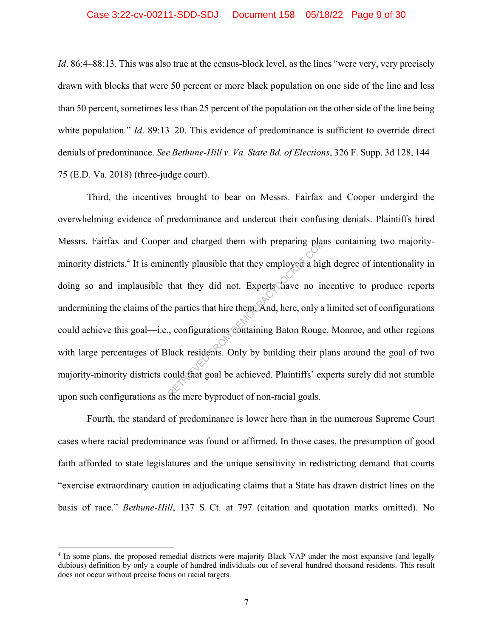*Id.* 86:4–88:13. This was also true at the census-block level, as the lines "were very, very precisely drawn with blocks that were 50 percent or more black population on one side of the line and less than 50 percent, sometimes less than 25 percent of the population on the other side of the line being white population." *Id.* 89:13–20. This evidence of predominance is sufficient to override direct denials of predominance. *See Bethune-Hill v. Va. State Bd. of Elections*, 326 F. Supp. 3d 128, 144– 75 (E.D. Va. 2018) (three-judge court).

Third, the incentives brought to bear on Messrs. Fairfax and Cooper undergird the overwhelming evidence of predominance and undercut their confusing denials. Plaintiffs hired Messrs. Fairfax and Cooper and charged them with preparing plans containing two majorityminority districts.<sup>4</sup> It is eminently plausible that they employed a high degree of intentionality in doing so and implausible that they did not. Experts have no incentive to produce reports undermining the claims of the parties that hire them. And, here, only a limited set of configurations could achieve this goal—i.e., configurations containing Baton Rouge, Monroe, and other regions with large percentages of Black residents. Only by building their plans around the goal of two majority-minority districts could that goal be achieved. Plaintiffs' experts surely did not stumble upon such configurations as the mere byproduct of non-racial goals. r and charged them with preparing planently plausible that they employed a high<br>that they did not. Experts have no in<br>e parties that hire them. And, here, only a<br>c, configurations containing Baton Rouge<br>lack residents. Onl

Fourth, the standard of predominance is lower here than in the numerous Supreme Court cases where racial predominance was found or affirmed. In those cases, the presumption of good faith afforded to state legislatures and the unique sensitivity in redistricting demand that courts "exercise extraordinary caution in adjudicating claims that a State has drawn district lines on the basis of race." *Bethune-Hill*, 137 S. Ct. at 797 (citation and quotation marks omitted). No

<sup>&</sup>lt;sup>4</sup> In some plans, the proposed remedial districts were majority Black VAP under the most expansive (and legally dubious) definition by only a couple of hundred individuals out of several hundred thousand residents. This result does not occur without precise focus on racial targets.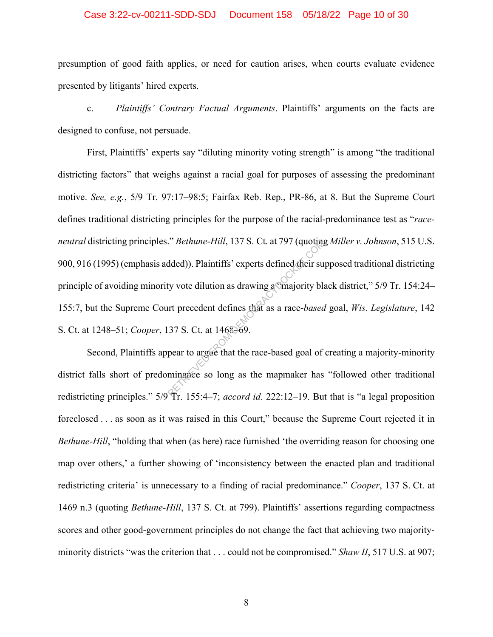#### Case 3:22-cv-00211-SDD-SDJ Document 158 05/18/22 Page 10 of 30

presumption of good faith applies, or need for caution arises, when courts evaluate evidence presented by litigants' hired experts.

c. *Plaintiffs' Contrary Factual Arguments*. Plaintiffs' arguments on the facts are designed to confuse, not persuade.

First, Plaintiffs' experts say "diluting minority voting strength" is among "the traditional districting factors" that weighs against a racial goal for purposes of assessing the predominant motive. *See, e.g.*, 5/9 Tr. 97:17–98:5; Fairfax Reb. Rep., PR-86, at 8. But the Supreme Court defines traditional districting principles for the purpose of the racial-predominance test as "*raceneutral* districting principles." *Bethune-Hill*, 137 S. Ct. at 797 (quoting *Miller v. Johnson*, 515 U.S. 900, 916 (1995) (emphasis added)). Plaintiffs' experts defined their supposed traditional districting principle of avoiding minority vote dilution as drawing a "majority black district," 5/9 Tr. 154:24– 155:7, but the Supreme Court precedent defines that as a race-*based* goal, *Wis. Legislature*, 142 S. Ct. at 1248–51; *Cooper*, 137 S. Ct. at 1468–69. *Phethune-Hill, 137 S. Ct. at 797 (quoting*<br>dded)). Plaintiffs' experts defined their surf<br>ty vote dilution as drawing a majority blanched their surfact of the magnetic phase and a race-based.<br>37 S. Ct. at 1468–69.<br>pear t

Second, Plaintiffs appear to argue that the race-based goal of creating a majority-minority district falls short of predominance so long as the mapmaker has "followed other traditional redistricting principles." 5/9 Tr. 155:4–7; *accord id.* 222:12–19. But that is "a legal proposition foreclosed . . . as soon as it was raised in this Court," because the Supreme Court rejected it in *Bethune-Hill*, "holding that when (as here) race furnished 'the overriding reason for choosing one map over others,' a further showing of 'inconsistency between the enacted plan and traditional redistricting criteria' is unnecessary to a finding of racial predominance." *Cooper*, 137 S. Ct. at 1469 n.3 (quoting *Bethune-Hill*, 137 S. Ct. at 799). Plaintiffs' assertions regarding compactness scores and other good-government principles do not change the fact that achieving two majorityminority districts "was the criterion that . . . could not be compromised." *Shaw II*, 517 U.S. at 907;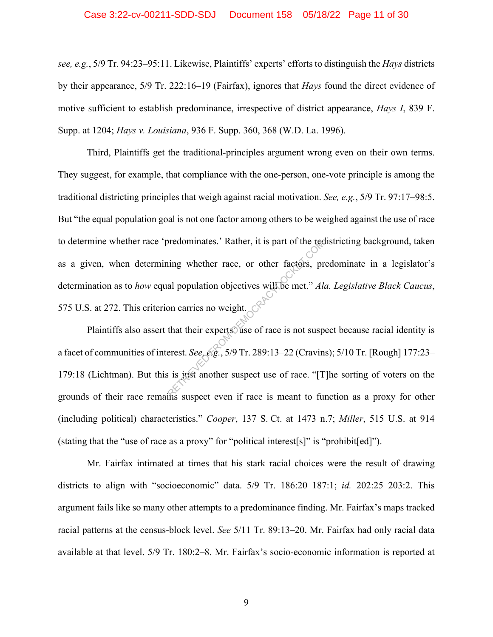#### Case 3:22-cv-00211-SDD-SDJ Document 158 05/18/22 Page 11 of 30

*see, e.g.*, 5/9 Tr. 94:23–95:11. Likewise, Plaintiffs' experts' efforts to distinguish the *Hays* districts by their appearance, 5/9 Tr. 222:16–19 (Fairfax), ignores that *Hays* found the direct evidence of motive sufficient to establish predominance, irrespective of district appearance, *Hays I*, 839 F. Supp. at 1204; *Hays v. Louisiana*, 936 F. Supp. 360, 368 (W.D. La. 1996).

Third, Plaintiffs get the traditional-principles argument wrong even on their own terms. They suggest, for example, that compliance with the one-person, one-vote principle is among the traditional districting principles that weigh against racial motivation. *See, e.g.*, 5/9 Tr. 97:17–98:5. But "the equal population goal is not one factor among others to be weighed against the use of race to determine whether race 'predominates.' Rather, it is part of the redistricting background, taken as a given, when determining whether race, or other factors, predominate in a legislator's determination as to *how* equal population objectives will be met." *Ala. Legislative Black Caucus*, 575 U.S. at 272. This criterion carries no weight. redominates.' Rather, it is part of the recession<br>ing whether race, or other factors, pr<br>al population objectives will be met." Ala<br>on carries no weight.<br>that their experts use of race is not susp<br>erest. See, e.g., 5/9 Tr.

Plaintiffs also assert that their experts use of race is not suspect because racial identity is a facet of communities of interest. *See, e.g.*, 5/9 Tr. 289:13–22 (Cravins); 5/10 Tr. [Rough] 177:23– 179:18 (Lichtman). But this is just another suspect use of race. "[T]he sorting of voters on the grounds of their race remains suspect even if race is meant to function as a proxy for other (including political) characteristics." *Cooper*, 137 S. Ct. at 1473 n.7; *Miller*, 515 U.S. at 914 (stating that the "use of race as a proxy" for "political interest[s]" is "prohibit[ed]").

Mr. Fairfax intimated at times that his stark racial choices were the result of drawing districts to align with "socioeconomic" data. 5/9 Tr. 186:20–187:1; *id.* 202:25–203:2. This argument fails like so many other attempts to a predominance finding. Mr. Fairfax's maps tracked racial patterns at the census-block level. *See* 5/11 Tr. 89:13–20. Mr. Fairfax had only racial data available at that level. 5/9 Tr. 180:2–8. Mr. Fairfax's socio-economic information is reported at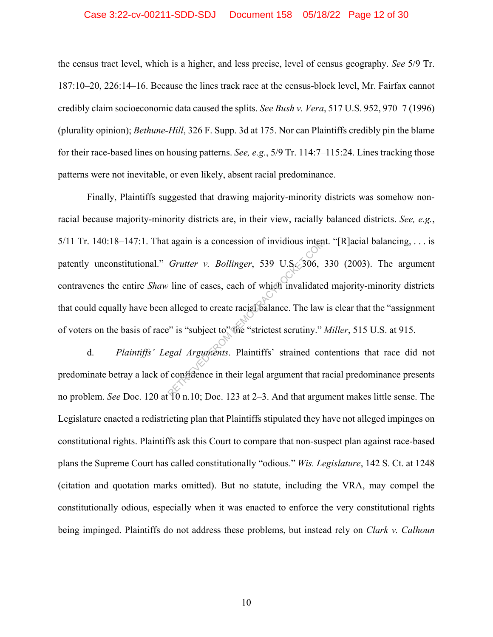#### Case 3:22-cv-00211-SDD-SDJ Document 158 05/18/22 Page 12 of 30

the census tract level, which is a higher, and less precise, level of census geography. *See* 5/9 Tr. 187:10–20, 226:14–16. Because the lines track race at the census-block level, Mr. Fairfax cannot credibly claim socioeconomic data caused the splits. *See Bush v. Vera*, 517 U.S. 952, 970–7 (1996) (plurality opinion); *Bethune-Hill*, 326 F. Supp. 3d at 175. Nor can Plaintiffs credibly pin the blame for their race-based lines on housing patterns. *See, e.g.*, 5/9 Tr. 114:7–115:24. Lines tracking those patterns were not inevitable, or even likely, absent racial predominance.

Finally, Plaintiffs suggested that drawing majority-minority districts was somehow nonracial because majority-minority districts are, in their view, racially balanced districts. *See, e.g.*, 5/11 Tr. 140:18–147:1. That again is a concession of invidious intent. "[R]acial balancing, ... is patently unconstitutional." *Grutter v. Bollinger*, 539 U.S. 306, 330 (2003). The argument contravenes the entire *Shaw* line of cases, each of which invalidated majority-minority districts that could equally have been alleged to create racial balance. The law is clear that the "assignment of voters on the basis of race" is "subject to" the "strictest scrutiny." *Miller*, 515 U.S. at 915. Example 18 a concession of invidious intended<br>
Grutter v. Bollinger, 539 U.S. 306,<br>
The of cases, each of which invalidate<br>
alleged to create racial balance. The law<br>  $\cdot$  is "subject to" the "strictest scrutiny."<br>
Exampl

d. *Plaintiffs' Legal Arguments*. Plaintiffs' strained contentions that race did not predominate betray a lack of confidence in their legal argument that racial predominance presents no problem. *See* Doc. 120 at 10 n.10; Doc. 123 at 2–3. And that argument makes little sense. The Legislature enacted a redistricting plan that Plaintiffs stipulated they have not alleged impinges on constitutional rights. Plaintiffs ask this Court to compare that non-suspect plan against race-based plans the Supreme Court has called constitutionally "odious." *Wis. Legislature*, 142 S. Ct. at 1248 (citation and quotation marks omitted). But no statute, including the VRA, may compel the constitutionally odious, especially when it was enacted to enforce the very constitutional rights being impinged. Plaintiffs do not address these problems, but instead rely on *Clark v. Calhoun*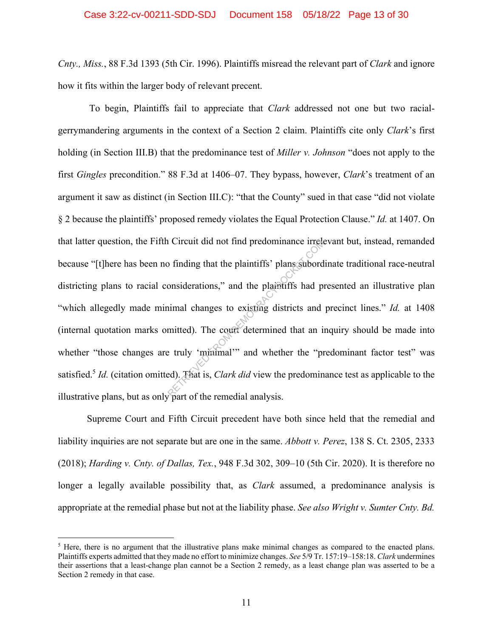*Cnty., Miss.*, 88 F.3d 1393 (5th Cir. 1996). Plaintiffs misread the relevant part of *Clark* and ignore how it fits within the larger body of relevant precent.

 To begin, Plaintiffs fail to appreciate that *Clark* addressed not one but two racialgerrymandering arguments in the context of a Section 2 claim. Plaintiffs cite only *Clark*'s first holding (in Section III.B) that the predominance test of *Miller v. Johnson* "does not apply to the first *Gingles* precondition." 88 F.3d at 1406–07. They bypass, however, *Clark*'s treatment of an argument it saw as distinct (in Section III.C): "that the County" sued in that case "did not violate § 2 because the plaintiffs' proposed remedy violates the Equal Protection Clause." *Id.* at 1407. On that latter question, the Fifth Circuit did not find predominance irrelevant but, instead, remanded because "[t]here has been no finding that the plaintiffs' plans subordinate traditional race-neutral districting plans to racial considerations," and the plaintiffs had presented an illustrative plan "which allegedly made minimal changes to existing districts and precinct lines." *Id.* at 1408 (internal quotation marks omitted). The court determined that an inquiry should be made into whether "those changes are truly 'minimal'" and whether the "predominant factor test" was satisfied.5 *Id.* (citation omitted). That is, *Clark did* view the predominance test as applicable to the illustrative plans, but as only part of the remedial analysis. Exercise to the plaintiffs' plans subord<br>
onsiderations," and the plaintiffs had providently be a plaintiffs had provident<br>
imal changes to existing districts and<br>
mitted). The court determined that an interval the "predi

Supreme Court and Fifth Circuit precedent have both since held that the remedial and liability inquiries are not separate but are one in the same. *Abbott v. Perez*, 138 S. Ct. 2305, 2333 (2018); *Harding v. Cnty. of Dallas, Tex.*, 948 F.3d 302, 309–10 (5th Cir. 2020). It is therefore no longer a legally available possibility that, as *Clark* assumed, a predominance analysis is appropriate at the remedial phase but not at the liability phase. *See also Wright v. Sumter Cnty. Bd.* 

<sup>&</sup>lt;sup>5</sup> Here, there is no argument that the illustrative plans make minimal changes as compared to the enacted plans. Plaintiffs experts admitted that they made no effort to minimize changes. *See* 5/9 Tr. 157:19–158:18. *Clark* undermines their assertions that a least-change plan cannot be a Section 2 remedy, as a least change plan was asserted to be a Section 2 remedy in that case.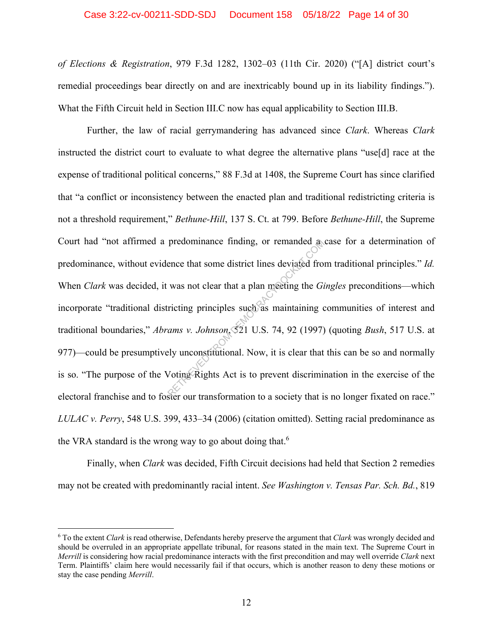#### Case 3:22-cv-00211-SDD-SDJ Document 158 05/18/22 Page 14 of 30

*of Elections & Registration*, 979 F.3d 1282, 1302–03 (11th Cir. 2020) ("[A] district court's remedial proceedings bear directly on and are inextricably bound up in its liability findings."). What the Fifth Circuit held in Section III.C now has equal applicability to Section III.B.

Further, the law of racial gerrymandering has advanced since *Clark*. Whereas *Clark* instructed the district court to evaluate to what degree the alternative plans "use[d] race at the expense of traditional political concerns," 88 F.3d at 1408, the Supreme Court has since clarified that "a conflict or inconsistency between the enacted plan and traditional redistricting criteria is not a threshold requirement," *Bethune-Hill*, 137 S. Ct. at 799. Before *Bethune-Hill*, the Supreme Court had "not affirmed a predominance finding, or remanded a case for a determination of predominance, without evidence that some district lines deviated from traditional principles." *Id.* When *Clark* was decided, it was not clear that a plan meeting the *Gingles* preconditions—which incorporate "traditional districting principles such as maintaining communities of interest and traditional boundaries," *Abrams v. Johnson*, 521 U.S. 74, 92 (1997) (quoting *Bush*, 517 U.S. at 977)—could be presumptively unconstitutional. Now, it is clear that this can be so and normally is so. "The purpose of the Voting Rights Act is to prevent discrimination in the exercise of the electoral franchise and to foster our transformation to a society that is no longer fixated on race." *LULAC v. Perry*, 548 U.S. 399, 433–34 (2006) (citation omitted). Setting racial predominance as the VRA standard is the wrong way to go about doing that.<sup>6</sup> predominance finding, or remanded a<br>
ence that some district lines deviated from<br>
was not clear that a plan meeting the *Gi*<br>
ricting principles such as maintaining c<br> *ams v. Johnson*, 521 U.S. 74, 92 (1997)<br>
ely unconsti

Finally, when *Clark* was decided, Fifth Circuit decisions had held that Section 2 remedies may not be created with predominantly racial intent. *See Washington v. Tensas Par. Sch. Bd.*, 819

<sup>6</sup> To the extent *Clark* is read otherwise, Defendants hereby preserve the argument that *Clark* was wrongly decided and should be overruled in an appropriate appellate tribunal, for reasons stated in the main text. The Supreme Court in *Merrill* is considering how racial predominance interacts with the first precondition and may well override *Clark* next Term. Plaintiffs' claim here would necessarily fail if that occurs, which is another reason to deny these motions or stay the case pending *Merrill*.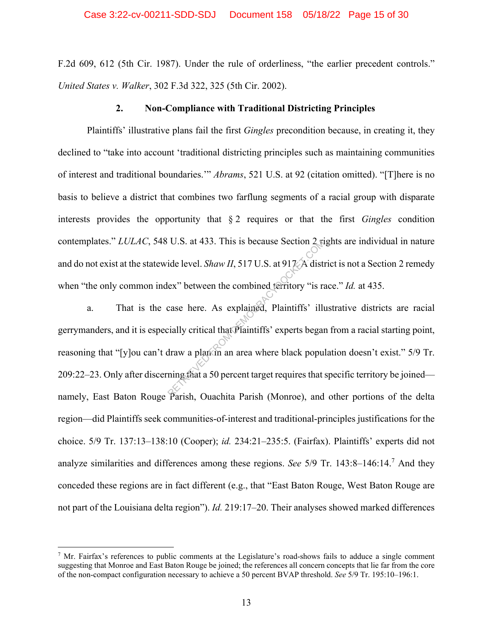F.2d 609, 612 (5th Cir. 1987). Under the rule of orderliness, "the earlier precedent controls." *United States v. Walker*, 302 F.3d 322, 325 (5th Cir. 2002).

#### **2. Non-Compliance with Traditional Districting Principles**

Plaintiffs' illustrative plans fail the first *Gingles* precondition because, in creating it, they declined to "take into account 'traditional districting principles such as maintaining communities of interest and traditional boundaries.'" *Abrams*, 521 U.S. at 92 (citation omitted). "[T]here is no basis to believe a district that combines two farflung segments of a racial group with disparate interests provides the opportunity that § 2 requires or that the first *Gingles* condition contemplates." *LULAC*, 548 U.S. at 433. This is because Section 2 rights are individual in nature and do not exist at the statewide level. *Shaw II*, 517 U.S. at 917. A district is not a Section 2 remedy when "the only common index" between the combined territory "is race." *Id.* at 435.

a. That is the case here. As explained, Plaintiffs' illustrative districts are racial gerrymanders, and it is especially critical that Plaintiffs' experts began from a racial starting point, reasoning that "[y]ou can't draw a plan in an area where black population doesn't exist." 5/9 Tr. 209:22–23. Only after discerning that a 50 percent target requires that specific territory be joined namely, East Baton Rouge Parish, Ouachita Parish (Monroe), and other portions of the delta region—did Plaintiffs seek communities-of-interest and traditional-principles justifications for the choice. 5/9 Tr. 137:13–138:10 (Cooper); *id.* 234:21–235:5. (Fairfax). Plaintiffs' experts did not analyze similarities and differences among these regions. *See* 5/9 Tr. 143:8–146:14.7 And they conceded these regions are in fact different (e.g., that "East Baton Rouge, West Baton Rouge are not part of the Louisiana delta region"). *Id.* 219:17–20. Their analyses showed marked differences U.S. at 433. This is because Section 2 is<br>ide level. *Shaw II*, 517 U.S. at 917 A distinct ex<sup>2</sup> between the combined territory "is racase here. As explained, Plaintiffs' illuminally critical that Plaintiffs' experts bega

<sup>&</sup>lt;sup>7</sup> Mr. Fairfax's references to public comments at the Legislature's road-shows fails to adduce a single comment suggesting that Monroe and East Baton Rouge be joined; the references all concern concepts that lie far from the core of the non-compact configuration necessary to achieve a 50 percent BVAP threshold. *See* 5/9 Tr. 195:10–196:1.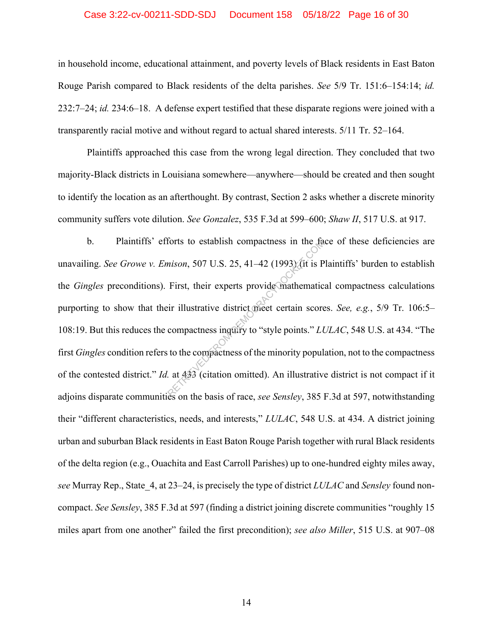#### Case 3:22-cv-00211-SDD-SDJ Document 158 05/18/22 Page 16 of 30

in household income, educational attainment, and poverty levels of Black residents in East Baton Rouge Parish compared to Black residents of the delta parishes. *See* 5/9 Tr. 151:6–154:14; *id.* 232:7–24; *id.* 234:6–18. A defense expert testified that these disparate regions were joined with a transparently racial motive and without regard to actual shared interests. 5/11 Tr. 52–164.

Plaintiffs approached this case from the wrong legal direction. They concluded that two majority-Black districts in Louisiana somewhere—anywhere—should be created and then sought to identify the location as an afterthought. By contrast, Section 2 asks whether a discrete minority community suffers vote dilution. *See Gonzalez*, 535 F.3d at 599–600; *Shaw II*, 517 U.S. at 917.

b. Plaintiffs' efforts to establish compactness in the face of these deficiencies are unavailing. *See Growe v. Emison*, 507 U.S. 25, 41–42 (1993) (it is Plaintiffs' burden to establish the *Gingles* preconditions). First, their experts provide mathematical compactness calculations purporting to show that their illustrative district meet certain scores. *See, e.g.*, 5/9 Tr. 106:5– 108:19. But this reduces the compactness inquiry to "style points." *LULAC*, 548 U.S. at 434. "The first *Gingles* condition refers to the compactness of the minority population, not to the compactness of the contested district." *Id.* at 433 (citation omitted). An illustrative district is not compact if it adjoins disparate communities on the basis of race, *see Sensley*, 385 F.3d at 597, notwithstanding their "different characteristics, needs, and interests," *LULAC*, 548 U.S. at 434. A district joining urban and suburban Black residents in East Baton Rouge Parish together with rural Black residents of the delta region (e.g., Ouachita and East Carroll Parishes) up to one-hundred eighty miles away, *see* Murray Rep., State\_4, at 23–24, is precisely the type of district *LULAC* and *Sensley* found noncompact. *See Sensley*, 385 F.3d at 597 (finding a district joining discrete communities "roughly 15 miles apart from one another" failed the first precondition); *see also Miller*, 515 U.S. at 907–08 forts to establish compactness in the ta<br>mison, 507 U.S. 25, 41–42 (1993) (it is P<br>First, their experts provide mathematic<br>ir illustrative district meet certain score<br>compactness inquiry to "style points." Lt<br>to the compa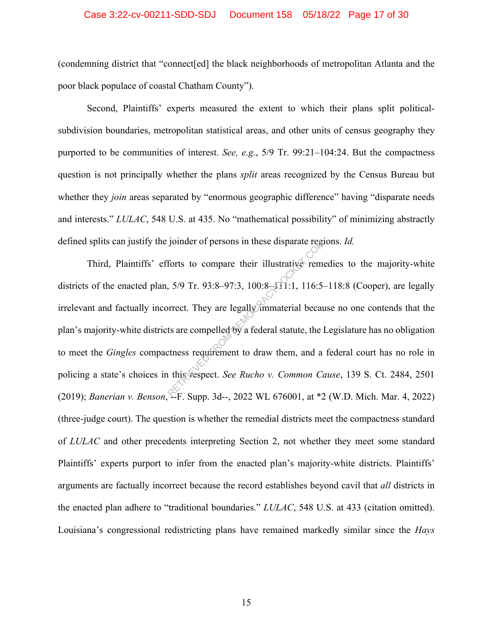#### Case 3:22-cv-00211-SDD-SDJ Document 158 05/18/22 Page 17 of 30

(condemning district that "connect[ed] the black neighborhoods of metropolitan Atlanta and the poor black populace of coastal Chatham County").

Second, Plaintiffs' experts measured the extent to which their plans split politicalsubdivision boundaries, metropolitan statistical areas, and other units of census geography they purported to be communities of interest. *See, e.g.*, 5/9 Tr. 99:21–104:24. But the compactness question is not principally whether the plans *split* areas recognized by the Census Bureau but whether they *join* areas separated by "enormous geographic difference" having "disparate needs" and interests." *LULAC*, 548 U.S. at 435. No "mathematical possibility" of minimizing abstractly defined splits can justify the joinder of persons in these disparate regions. *Id.*

Third, Plaintiffs' efforts to compare their illustrative remedies to the majority-white districts of the enacted plan,  $5/9$  Tr.  $93:8-97:3$ ,  $100:8-111:1$ ,  $116:5-118:8$  (Cooper), are legally irrelevant and factually incorrect. They are legally immaterial because no one contends that the plan's majority-white districts are compelled by a federal statute, the Legislature has no obligation to meet the *Gingles* compactness requirement to draw them, and a federal court has no role in policing a state's choices in this respect. *See Rucho v. Common Cause*, 139 S. Ct. 2484, 2501 (2019); *Banerian v. Benson*, --F. Supp. 3d--, 2022 WL 676001, at \*2 (W.D. Mich. Mar. 4, 2022) (three-judge court). The question is whether the remedial districts meet the compactness standard of *LULAC* and other precedents interpreting Section 2, not whether they meet some standard Plaintiffs' experts purport to infer from the enacted plan's majority-white districts. Plaintiffs' arguments are factually incorrect because the record establishes beyond cavil that *all* districts in the enacted plan adhere to "traditional boundaries." *LULAC*, 548 U.S. at 433 (citation omitted). Louisiana's congressional redistricting plans have remained markedly similar since the *Hays* Forts to compare their illustrative remeters<br>forts to compare their illustrative remeters<br> $5/9$  Tr. 93:8-97:3, 100:8- $\Omega$ 1:1, 116:5-<br>orrect. They are legally immaterial becausts are compelled by a federal statute, the l<br>t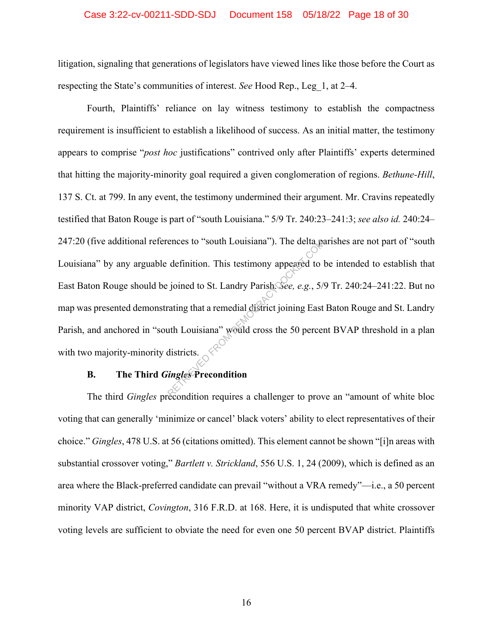#### Case 3:22-cv-00211-SDD-SDJ Document 158 05/18/22 Page 18 of 30

litigation, signaling that generations of legislators have viewed lines like those before the Court as respecting the State's communities of interest. *See* Hood Rep., Leg\_1, at 2–4.

Fourth, Plaintiffs' reliance on lay witness testimony to establish the compactness requirement is insufficient to establish a likelihood of success. As an initial matter, the testimony appears to comprise "*post hoc* justifications" contrived only after Plaintiffs' experts determined that hitting the majority-minority goal required a given conglomeration of regions. *Bethune-Hill*, 137 S. Ct. at 799. In any event, the testimony undermined their argument. Mr. Cravins repeatedly testified that Baton Rouge is part of "south Louisiana." 5/9 Tr. 240:23–241:3; *see also id.* 240:24– 247:20 (five additional references to "south Louisiana"). The delta parishes are not part of "south Louisiana" by any arguable definition. This testimony appeared to be intended to establish that East Baton Rouge should be joined to St. Landry Parish. *See, e.g.*, 5/9 Tr. 240:24–241:22. But no map was presented demonstrating that a remedial district joining East Baton Rouge and St. Landry Parish, and anchored in "south Louisiana" would cross the 50 percent BVAP threshold in a plan with two majority-minority districts. ences to "south Louisiana"). The delta particular definition. This testimony appeared to lead to still increase to the solution of the state of the Louisiana exponential district joining East at the Louisiana exposure woul

## **B. The Third** *Gingles* **Precondition**

The third *Gingles* precondition requires a challenger to prove an "amount of white bloc voting that can generally 'minimize or cancel' black voters' ability to elect representatives of their choice." *Gingles*, 478 U.S. at 56 (citations omitted). This element cannot be shown "[i]n areas with substantial crossover voting," *Bartlett v. Strickland*, 556 U.S. 1, 24 (2009), which is defined as an area where the Black-preferred candidate can prevail "without a VRA remedy"—i.e., a 50 percent minority VAP district, *Covington*, 316 F.R.D. at 168. Here, it is undisputed that white crossover voting levels are sufficient to obviate the need for even one 50 percent BVAP district. Plaintiffs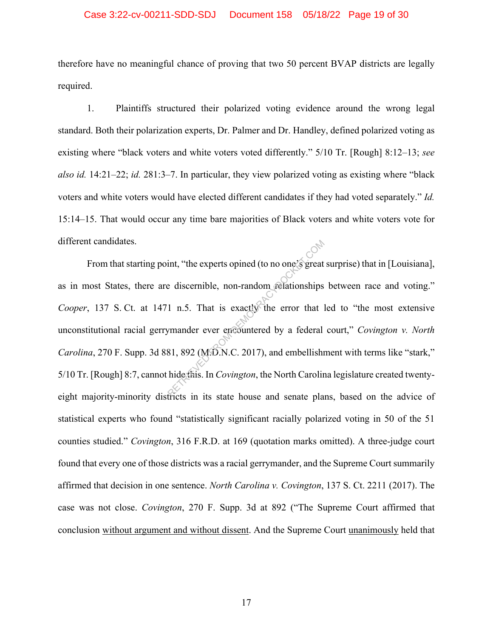#### Case 3:22-cv-00211-SDD-SDJ Document 158 05/18/22 Page 19 of 30

therefore have no meaningful chance of proving that two 50 percent BVAP districts are legally required.

1. Plaintiffs structured their polarized voting evidence around the wrong legal standard. Both their polarization experts, Dr. Palmer and Dr. Handley, defined polarized voting as existing where "black voters and white voters voted differently." 5/10 Tr. [Rough] 8:12–13; *see also id.* 14:21–22; *id.* 281:3–7. In particular, they view polarized voting as existing where "black voters and white voters would have elected different candidates if they had voted separately." *Id.* 15:14–15. That would occur any time bare majorities of Black voters and white voters vote for different candidates.

From that starting point, "the experts opined (to no one's great surprise) that in [Louisiana], as in most States, there are discernible, non-random relationships between race and voting." *Cooper*, 137 S. Ct. at 1471 n.5. That is exactly the error that led to "the most extensive unconstitutional racial gerrymander ever encountered by a federal court," *Covington v. North Carolina*, 270 F. Supp. 3d 881, 892 (M.D.N.C. 2017), and embellishment with terms like "stark," 5/10 Tr. [Rough] 8:7, cannot hide this. In *Covington*, the North Carolina legislature created twentyeight majority-minority districts in its state house and senate plans, based on the advice of statistical experts who found "statistically significant racially polarized voting in 50 of the 51 counties studied." *Covington*, 316 F.R.D. at 169 (quotation marks omitted). A three-judge court found that every one of those districts was a racial gerrymander, and the Supreme Court summarily affirmed that decision in one sentence. *North Carolina v. Covington*, 137 S. Ct. 2211 (2017). The case was not close. *Covington*, 270 F. Supp. 3d at 892 ("The Supreme Court affirmed that conclusion without argument and without dissent. And the Supreme Court unanimously held that int, "the experts opined (to no one's great<br>
e discernible, non-random relationships<br>
1 n.5. That is exactly the error that<br>
1 mander ever encountered by a federal<br>
81, 892 (M.D.N.C. 2017), and embellish<br>
hide this. In Cov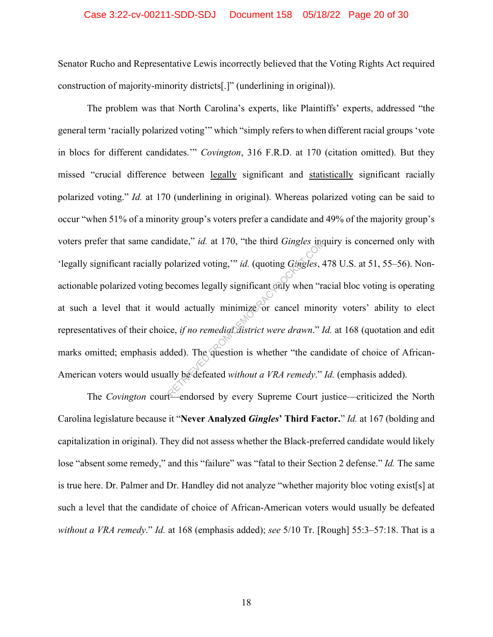#### Case 3:22-cv-00211-SDD-SDJ Document 158 05/18/22 Page 20 of 30

Senator Rucho and Representative Lewis incorrectly believed that the Voting Rights Act required construction of majority-minority districts[.]" (underlining in original)).

The problem was that North Carolina's experts, like Plaintiffs' experts, addressed "the general term 'racially polarized voting'" which "simply refers to when different racial groups 'vote in blocs for different candidates.'" *Covington*, 316 F.R.D. at 170 (citation omitted). But they missed "crucial difference between legally significant and statistically significant racially polarized voting." *Id.* at 170 (underlining in original). Whereas polarized voting can be said to occur "when 51% of a minority group's voters prefer a candidate and 49% of the majority group's voters prefer that same candidate," *id.* at 170, "the third *Gingles* inquiry is concerned only with 'legally significant racially polarized voting,'" *id.* (quoting *Gingles*, 478 U.S. at 51, 55–56). Nonactionable polarized voting becomes legally significant only when "racial bloc voting is operating at such a level that it would actually minimize or cancel minority voters' ability to elect representatives of their choice, *if no remedial district were drawn*." *Id.* at 168 (quotation and edit marks omitted; emphasis added). The question is whether "the candidate of choice of African-American voters would usually be defeated *without a VRA remedy*." *Id.* (emphasis added). Indate," *id.* at 170, "the third *Gingles* incodentized voting,"" *id.* (quoting *Gingles*,  $\epsilon$ <br>becomes legally significant only when "rand actually minimize or cancel mino:<br>ce, *if no remedial district were drawn.*" *I* 

The *Covington* court—endorsed by every Supreme Court justice—criticized the North Carolina legislature because it "**Never Analyzed** *Gingles***' Third Factor.**" *Id.* at 167 (bolding and capitalization in original). They did not assess whether the Black-preferred candidate would likely lose "absent some remedy," and this "failure" was "fatal to their Section 2 defense." *Id.* The same is true here. Dr. Palmer and Dr. Handley did not analyze "whether majority bloc voting exist[s] at such a level that the candidate of choice of African-American voters would usually be defeated *without a VRA remedy*." *Id.* at 168 (emphasis added); *see* 5/10 Tr. [Rough] 55:3–57:18. That is a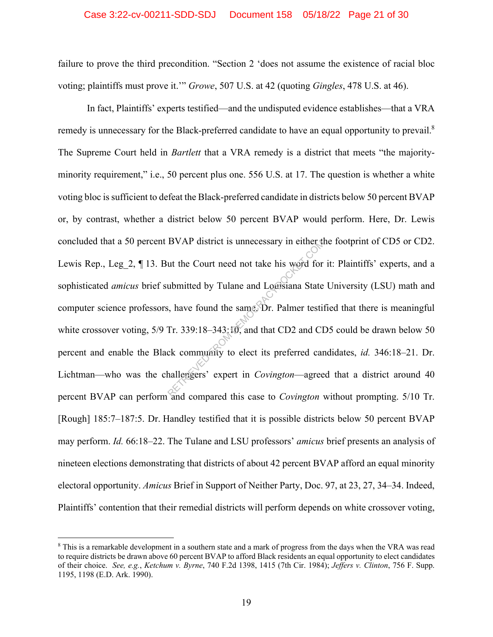#### Case 3:22-cv-00211-SDD-SDJ Document 158 05/18/22 Page 21 of 30

failure to prove the third precondition. "Section 2 'does not assume the existence of racial bloc voting; plaintiffs must prove it.'" *Growe*, 507 U.S. at 42 (quoting *Gingles*, 478 U.S. at 46).

In fact, Plaintiffs' experts testified—and the undisputed evidence establishes—that a VRA remedy is unnecessary for the Black-preferred candidate to have an equal opportunity to prevail.<sup>8</sup> The Supreme Court held in *Bartlett* that a VRA remedy is a district that meets "the majorityminority requirement," i.e., 50 percent plus one. 556 U.S. at 17. The question is whether a white voting bloc is sufficient to defeat the Black-preferred candidate in districts below 50 percent BVAP or, by contrast, whether a district below 50 percent BVAP would perform. Here, Dr. Lewis concluded that a 50 percent BVAP district is unnecessary in either the footprint of CD5 or CD2. Lewis Rep., Leg 2, ¶ 13. But the Court need not take his word for it: Plaintiffs' experts, and a sophisticated *amicus* brief submitted by Tulane and Louisiana State University (LSU) math and computer science professors, have found the same. Dr. Palmer testified that there is meaningful white crossover voting, 5/9 Tr. 339:18-343:10, and that CD2 and CD5 could be drawn below 50 percent and enable the Black community to elect its preferred candidates, *id.* 346:18–21. Dr. Lichtman—who was the challengers' expert in *Covington*—agreed that a district around 40 percent BVAP can perform and compared this case to *Covington* without prompting. 5/10 Tr. [Rough] 185:7–187:5. Dr. Handley testified that it is possible districts below 50 percent BVAP may perform. *Id.* 66:18–22. The Tulane and LSU professors' *amicus* brief presents an analysis of nineteen elections demonstrating that districts of about 42 percent BVAP afford an equal minority electoral opportunity. *Amicus* Brief in Support of Neither Party, Doc. 97, at 23, 27, 34–34. Indeed, Plaintiffs' contention that their remedial districts will perform depends on white crossover voting, BVAP district is unnecessary in either the<br>ut the Court need not take his word for<br>ubmitted by Tulane and Logisiana State<br>i, have found the same Dr. Palmer testif<br>Tr. 339:18–343:10, and that CD2 and CI<br>ck community to elec

<sup>&</sup>lt;sup>8</sup> This is a remarkable development in a southern state and a mark of progress from the days when the VRA was read to require districts be drawn above 60 percent BVAP to afford Black residents an equal opportunity to elect candidates of their choice. *See, e.g.*, *Ketchum v. Byrne*, 740 F.2d 1398, 1415 (7th Cir. 1984); *Jeffers v. Clinton*, 756 F. Supp. 1195, 1198 (E.D. Ark. 1990).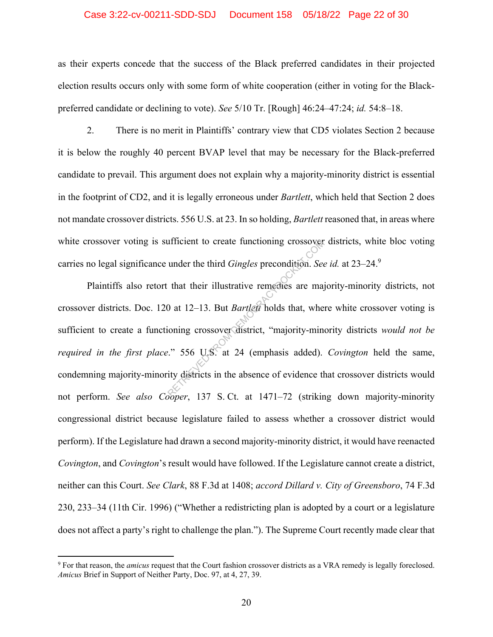#### Case 3:22-cv-00211-SDD-SDJ Document 158 05/18/22 Page 22 of 30

as their experts concede that the success of the Black preferred candidates in their projected election results occurs only with some form of white cooperation (either in voting for the Blackpreferred candidate or declining to vote). *See* 5/10 Tr. [Rough] 46:24–47:24; *id.* 54:8–18.

2. There is no merit in Plaintiffs' contrary view that CD5 violates Section 2 because it is below the roughly 40 percent BVAP level that may be necessary for the Black-preferred candidate to prevail. This argument does not explain why a majority-minority district is essential in the footprint of CD2, and it is legally erroneous under *Bartlett*, which held that Section 2 does not mandate crossover districts. 556 U.S. at 23. In so holding, *Bartlett* reasoned that, in areas where white crossover voting is sufficient to create functioning crossover districts, white bloc voting carries no legal significance under the third *Gingles* precondition. *See id.* at 23–24.9

Plaintiffs also retort that their illustrative remedies are majority-minority districts, not crossover districts. Doc. 120 at 12–13. But *Bartlett* holds that, where white crossover voting is sufficient to create a functioning crossover district, "majority-minority districts *would not be required in the first place*." 556 U.S. at 24 (emphasis added). *Covington* held the same, condemning majority-minority districts in the absence of evidence that crossover districts would not perform. *See also Cooper*, 137 S. Ct. at 1471–72 (striking down majority-minority congressional district because legislature failed to assess whether a crossover district would perform). If the Legislature had drawn a second majority-minority district, it would have reenacted *Covington*, and *Covington*'s result would have followed. If the Legislature cannot create a district, neither can this Court. *See Clark*, 88 F.3d at 1408; *accord Dillard v. City of Greensboro*, 74 F.3d 230, 233–34 (11th Cir. 1996) ("Whether a redistricting plan is adopted by a court or a legislature does not affect a party's right to challenge the plan."). The Supreme Court recently made clear that under the third *Gingles* precondition. See<br>that their illustrative remedies are may<br>0 at 12–13. But *Bartlett* holds that, where<br>ioning crossover district, "majority-min"<br> $\therefore$  556 U.S. at 24 (emphasis added).<br>ity distric

<sup>9</sup> For that reason, the *amicus* request that the Court fashion crossover districts as a VRA remedy is legally foreclosed. *Amicus* Brief in Support of Neither Party, Doc. 97, at 4, 27, 39.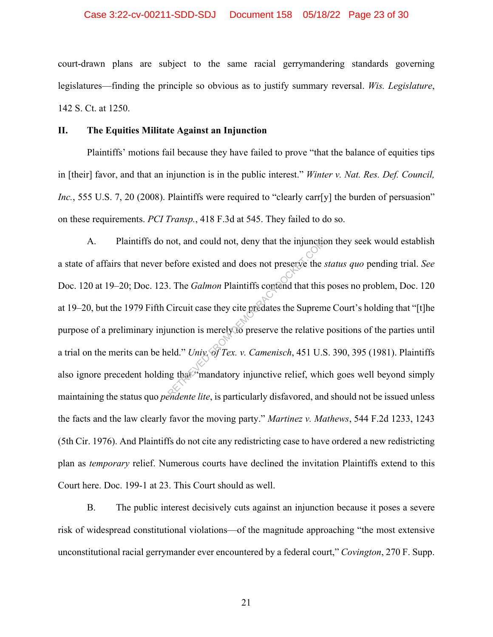#### Case 3:22-cv-00211-SDD-SDJ Document 158 05/18/22 Page 23 of 30

court-drawn plans are subject to the same racial gerrymandering standards governing legislatures—finding the principle so obvious as to justify summary reversal. *Wis. Legislature*, 142 S. Ct. at 1250.

#### **II. The Equities Militate Against an Injunction**

Plaintiffs' motions fail because they have failed to prove "that the balance of equities tips in [their] favor, and that an injunction is in the public interest." *Winter v. Nat. Res. Def. Council, Inc.*, 555 U.S. 7, 20 (2008). Plaintiffs were required to "clearly carr[y] the burden of persuasion" on these requirements. *PCI Transp.*, 418 F.3d at 545. They failed to do so.

A. Plaintiffs do not, and could not, deny that the injunction they seek would establish a state of affairs that never before existed and does not preserve the *status quo* pending trial. *See* Doc. 120 at 19–20; Doc. 123. The *Galmon* Plaintiffs contend that this poses no problem, Doc. 120 at 19–20, but the 1979 Fifth Circuit case they cite predates the Supreme Court's holding that "[t]he purpose of a preliminary injunction is merely to preserve the relative positions of the parties until a trial on the merits can be held." *Univ. of Tex. v. Camenisch*, 451 U.S. 390, 395 (1981). Plaintiffs also ignore precedent holding that "mandatory injunctive relief, which goes well beyond simply maintaining the status quo *pendente lite*, is particularly disfavored, and should not be issued unless the facts and the law clearly favor the moving party." *Martinez v. Mathews*, 544 F.2d 1233, 1243 (5th Cir. 1976). And Plaintiffs do not cite any redistricting case to have ordered a new redistricting plan as *temporary* relief. Numerous courts have declined the invitation Plaintiffs extend to this Court here. Doc. 199-1 at 23. This Court should as well. not, and could not, deny that the injunction<br>before existed and does not preserve the .<br>Circuit case they cite predates the Suprem<br>unction is merely to preserve the relative<br>eld." Univ, of Tex. v. Camenisch, 451 U.S<br>in tha

B. The public interest decisively cuts against an injunction because it poses a severe risk of widespread constitutional violations—of the magnitude approaching "the most extensive unconstitutional racial gerrymander ever encountered by a federal court," *Covington*, 270 F. Supp.

21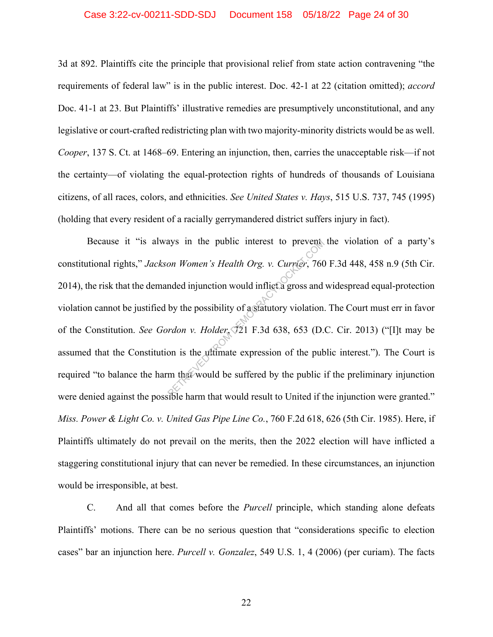#### Case 3:22-cv-00211-SDD-SDJ Document 158 05/18/22 Page 24 of 30

3d at 892. Plaintiffs cite the principle that provisional relief from state action contravening "the requirements of federal law" is in the public interest. Doc. 42-1 at 22 (citation omitted); *accord* Doc. 41-1 at 23. But Plaintiffs' illustrative remedies are presumptively unconstitutional, and any legislative or court-crafted redistricting plan with two majority-minority districts would be as well. *Cooper*, 137 S. Ct. at 1468–69. Entering an injunction, then, carries the unacceptable risk—if not the certainty—of violating the equal-protection rights of hundreds of thousands of Louisiana citizens, of all races, colors, and ethnicities. *See United States v. Hays*, 515 U.S. 737, 745 (1995) (holding that every resident of a racially gerrymandered district suffers injury in fact).

Because it "is always in the public interest to prevent the violation of a party's constitutional rights," *Jackson Women's Health Org. v. Currier*, 760 F.3d 448, 458 n.9 (5th Cir. 2014), the risk that the demanded injunction would inflict a gross and widespread equal-protection violation cannot be justified by the possibility of a statutory violation. The Court must err in favor of the Constitution. *See Gordon v. Holder*, 721 F.3d 638, 653 (D.C. Cir. 2013) ("[I]t may be assumed that the Constitution is the ultimate expression of the public interest."). The Court is required "to balance the harm that would be suffered by the public if the preliminary injunction were denied against the possible harm that would result to United if the injunction were granted." *Miss. Power & Light Co. v. United Gas Pipe Line Co.*, 760 F.2d 618, 626 (5th Cir. 1985). Here, if Plaintiffs ultimately do not prevail on the merits, then the 2022 election will have inflicted a staggering constitutional injury that can never be remedied. In these circumstances, an injunction would be irresponsible, at best. ays in the public interest to prevent<br>on Women's Health Org. v. Currier, 760<br>mded injunction would inflict a gross and<br>by the possibility of a statutory violation.<br>rdon v. Holder, 721 F.3d 638, 653 (D.<br>on is the ultimate e

C. And all that comes before the *Purcell* principle, which standing alone defeats Plaintiffs' motions. There can be no serious question that "considerations specific to election cases" bar an injunction here. *Purcell v. Gonzalez*, 549 U.S. 1, 4 (2006) (per curiam). The facts

22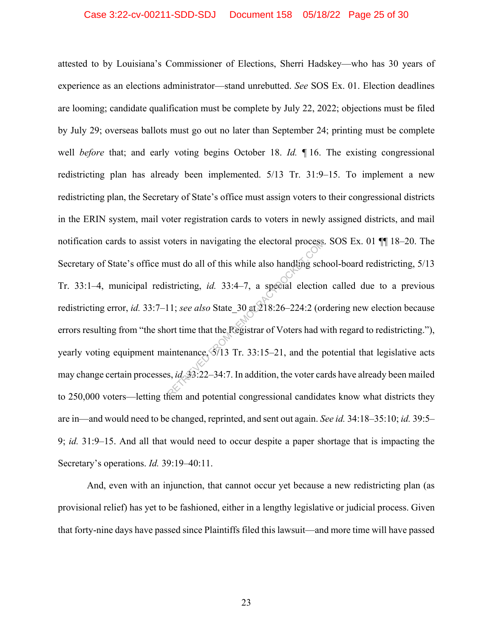#### Case 3:22-cv-00211-SDD-SDJ Document 158 05/18/22 Page 25 of 30

attested to by Louisiana's Commissioner of Elections, Sherri Hadskey—who has 30 years of experience as an elections administrator—stand unrebutted. *See* SOS Ex. 01. Election deadlines are looming; candidate qualification must be complete by July 22, 2022; objections must be filed by July 29; overseas ballots must go out no later than September 24; printing must be complete well *before* that; and early voting begins October 18. *Id.* ¶ 16. The existing congressional redistricting plan has already been implemented. 5/13 Tr. 31:9–15. To implement a new redistricting plan, the Secretary of State's office must assign voters to their congressional districts in the ERIN system, mail voter registration cards to voters in newly assigned districts, and mail notification cards to assist voters in navigating the electoral process. SOS Ex. 01 ¶¶ 18–20. The Secretary of State's office must do all of this while also handling school-board redistricting, 5/13 Tr. 33:1–4, municipal redistricting, *id.* 33:4–7, a special election called due to a previous redistricting error, *id.* 33:7–11; *see also* State\_30 at 218:26–224:2 (ordering new election because errors resulting from "the short time that the Registrar of Voters had with regard to redistricting."), yearly voting equipment maintenance,  $\sqrt{5/13}$  Tr. 33:15–21, and the potential that legislative acts may change certain processes, *id.* 33:22–34:7. In addition, the voter cards have already been mailed to 250,000 voters—letting them and potential congressional candidates know what districts they are in—and would need to be changed, reprinted, and sent out again. *See id.* 34:18–35:10; *id.* 39:5– 9; *id.* 31:9–15. And all that would need to occur despite a paper shortage that is impacting the Secretary's operations. *Id.* 39:19–40:11. From an avigating the electoral process<br>
uust do all of this while also handling sch<br>
stricting, *id.* 33:4–7, a special election<br>
11; *see also* State\_30 at  $218:26-224:2$  (or<br>
ort time that the Registrar of Voters had w

And, even with an injunction, that cannot occur yet because a new redistricting plan (as provisional relief) has yet to be fashioned, either in a lengthy legislative or judicial process. Given that forty-nine days have passed since Plaintiffs filed this lawsuit—and more time will have passed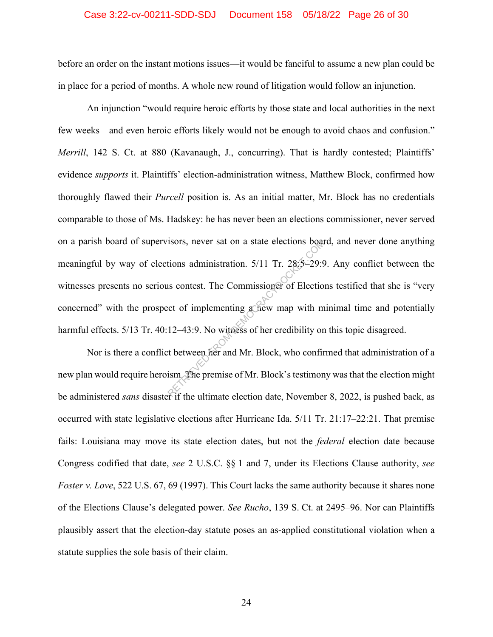## Case 3:22-cv-00211-SDD-SDJ Document 158 05/18/22 Page 26 of 30

before an order on the instant motions issues—it would be fanciful to assume a new plan could be in place for a period of months. A whole new round of litigation would follow an injunction.

An injunction "would require heroic efforts by those state and local authorities in the next few weeks—and even heroic efforts likely would not be enough to avoid chaos and confusion." *Merrill*, 142 S. Ct. at 880 (Kavanaugh, J., concurring). That is hardly contested; Plaintiffs' evidence *supports* it. Plaintiffs' election-administration witness, Matthew Block, confirmed how thoroughly flawed their *Purcell* position is. As an initial matter, Mr. Block has no credentials comparable to those of Ms. Hadskey: he has never been an elections commissioner, never served on a parish board of supervisors, never sat on a state elections board, and never done anything meaningful by way of elections administration. 5/11 Tr. 28:5–29:9. Any conflict between the witnesses presents no serious contest. The Commissioner of Elections testified that she is "very concerned" with the prospect of implementing a new map with minimal time and potentially harmful effects. 5/13 Tr. 40:12-43:9. No witness of her credibility on this topic disagreed. The state electrons boat<br>tions administration. 5/11 Tr. 28:5–29:9<br>six contest. The Commissioner of Electio<br>contest. The Commissioner of Electio<br>control of the Mercannics of Mr. Block, who confir<br>the premise of Mr. Block's

Nor is there a conflict between her and Mr. Block, who confirmed that administration of a new plan would require heroism. The premise of Mr. Block's testimony was that the election might be administered *sans* disaster if the ultimate election date, November 8, 2022, is pushed back, as occurred with state legislative elections after Hurricane Ida. 5/11 Tr. 21:17–22:21. That premise fails: Louisiana may move its state election dates, but not the *federal* election date because Congress codified that date, *see* 2 U.S.C. §§ 1 and 7, under its Elections Clause authority, *see Foster v. Love*, 522 U.S. 67, 69 (1997). This Court lacks the same authority because it shares none of the Elections Clause's delegated power. *See Rucho*, 139 S. Ct. at 2495–96. Nor can Plaintiffs plausibly assert that the election-day statute poses an as-applied constitutional violation when a statute supplies the sole basis of their claim.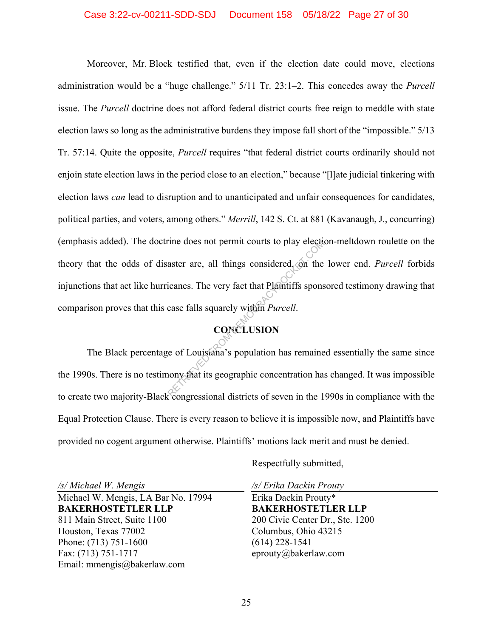#### Case 3:22-cv-00211-SDD-SDJ Document 158 05/18/22 Page 27 of 30

Moreover, Mr. Block testified that, even if the election date could move, elections administration would be a "huge challenge." 5/11 Tr. 23:1–2. This concedes away the *Purcell* issue. The *Purcell* doctrine does not afford federal district courts free reign to meddle with state election laws so long as the administrative burdens they impose fall short of the "impossible." 5/13 Tr. 57:14. Quite the opposite, *Purcell* requires "that federal district courts ordinarily should not enjoin state election laws in the period close to an election," because "[l]ate judicial tinkering with election laws *can* lead to disruption and to unanticipated and unfair consequences for candidates, political parties, and voters, among others." *Merrill*, 142 S. Ct. at 881 (Kavanaugh, J., concurring) (emphasis added). The doctrine does not permit courts to play election-meltdown roulette on the theory that the odds of disaster are, all things considered, on the lower end. *Purcell* forbids injunctions that act like hurricanes. The very fact that Plaintiffs sponsored testimony drawing that comparison proves that this case falls squarely within *Purcell*. rine does not permit courts to play electure<br>aster are, all things considered, on the<br>icanes. The very fact that Plaintiffs spons<br>case falls squarely within *Purcell*.<br>CONCLUSION<br>e of Louisiana's population has remaine<br>non

# **CONCLUSION**

The Black percentage of Louisiana's population has remained essentially the same since the 1990s. There is no testimony that its geographic concentration has changed. It was impossible to create two majority-Black congressional districts of seven in the 1990s in compliance with the Equal Protection Clause. There is every reason to believe it is impossible now, and Plaintiffs have provided no cogent argument otherwise. Plaintiffs' motions lack merit and must be denied.

*/s/ Michael W. Mengis* 

Michael W. Mengis, LA Bar No. 17994 **BAKERHOSTETLER LLP**  811 Main Street, Suite 1100 Houston, Texas 77002 Phone: (713) 751-1600 Fax: (713) 751-1717 Email: mmengis@bakerlaw.com

Respectfully submitted,

*/s/ Erika Dackin Prouty*  Erika Dackin Prouty\* **BAKERHOSTETLER LLP**  200 Civic Center Dr., Ste. 1200 Columbus, Ohio 43215 (614) 228-1541 eprouty@bakerlaw.com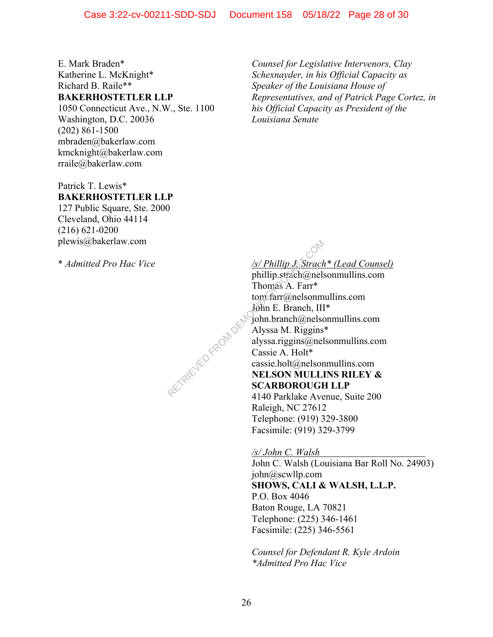E. Mark Braden\* Katherine L. McKnight\* Richard B. Raile\*\* **BAKERHOSTETLER LLP** 

1050 Connecticut Ave., N.W., Ste. 1100 Washington, D.C. 20036 (202) 861-1500 mbraden@bakerlaw.com kmcknight@bakerlaw.com rraile@bakerlaw.com

Patrick T. Lewis\* **BAKERHOSTETLER LLP** 

127 Public Square, Ste. 2000 Cleveland, Ohio 44114 (216) 621-0200 plewis@bakerlaw.com

\* *Admitted Pro Hac Vice* 

*Counsel for Legislative Intervenors, Clay Schexnayder, in his Official Capacity as Speaker of the Louisiana House of Representatives, and of Patrick Page Cortez, in his Official Capacity as President of the Louisiana Senate* 

*/s/ Phillip J. Strach\* (Lead Counsel)* 

phillip.strach@nelsonmullins.com Thomas A. Farr\* tom.farr@nelsonmullins.com John E. Branch, III\* john.branch@nelsonmullins.com Alyssa M. Riggins\* alyssa.riggins@nelsonmullins.com Cassie A. Holt\* cassie.holt@nelsonmullins.com **NELSON MULLINS RILEY & SCARBOROUGH LLP**  4140 Parklake Avenue, Suite 200 Raleigh, NC 27612

Telephone: (919) 329-3800 Facsimile: (919) 329-3799

*/s/ John C. Walsh*  John C. Walsh (Louisiana Bar Roll No. 24903) john@scwllp.com **SHOWS, CALI & WALSH, L.L.P.**  P.O. Box 4046 Baton Rouge, LA 70821 Telephone: (225) 346-1461 Facsimile: (225) 346-5561

*Counsel for Defendant R. Kyle Ardoin \*Admitted Pro Hac Vice* 

RETRIEVED FROM DES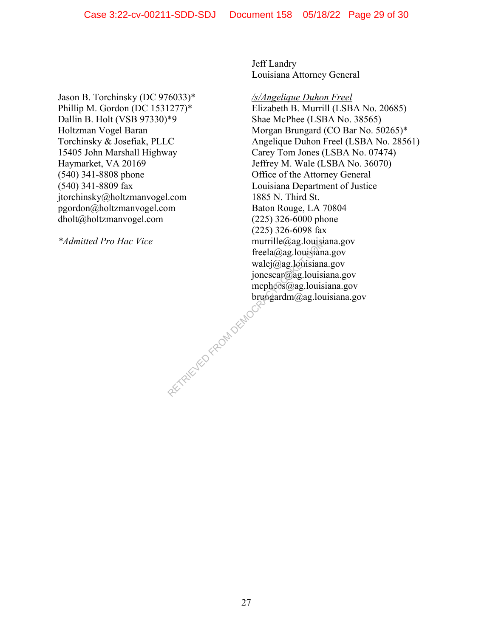Jason B. Torchinsky (DC 976033)\* Phillip M. Gordon (DC 1531277)\* Dallin B. Holt (VSB 97330)\*9 Holtzman Vogel Baran Torchinsky & Josefiak, PLLC 15405 John Marshall Highway Haymarket, VA 20169 (540) 341-8808 phone (540) 341-8809 fax jtorchinsky@holtzmanvogel.com pgordon@holtzmanvogel.com dholt@holtzmanvogel.com

*\*Admitted Pro Hac Vice* 

Jeff Landry Louisiana Attorney General

*/s/Angelique Duhon Freel*  Elizabeth B. Murrill (LSBA No. 20685) Shae McPhee (LSBA No. 38565) Morgan Brungard (CO Bar No. 50265)\* Angelique Duhon Freel (LSBA No. 28561) Carey Tom Jones (LSBA No. 07474) Jeffrey M. Wale (LSBA No. 36070) Office of the Attorney General Louisiana Department of Justice 1885 N. Third St. Baton Rouge, LA 70804 (225) 326-6000 phone (225) 326-6098 fax murrille@ag.louisiana.gov freela@ag.louisiana.gov walej@ag.louisiana.gov jonescar@ag.louisiana.gov mcphees@ag.louisiana.gov brungardm@ag.louisiana.gov RETRIEVED FROM DEMOCRA